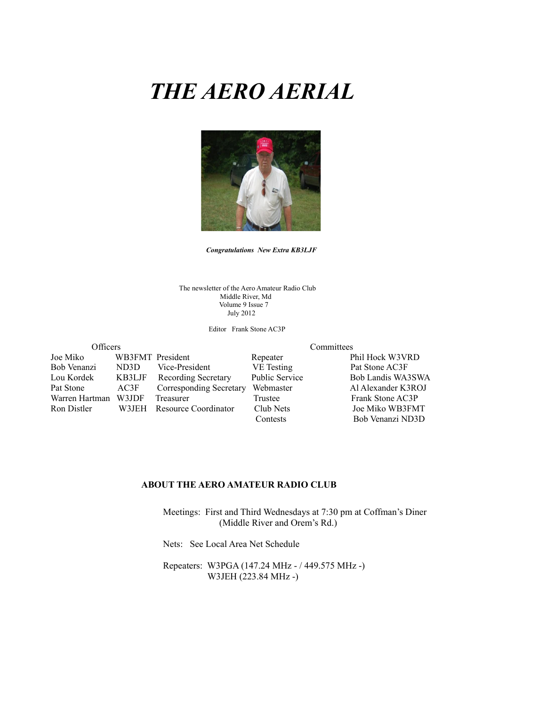# *THE AERO AERIAL*



*Congratulations**New Extra KB3LJF*

The newsletter of the Aero Amateur Radio Club Middle River, Md Volume 9 Issue 7 July 2012

Editor Frank Stone AC3P

Officers Committees Joe Miko WB3FMT President Repeater Phil Hock W3VRD Bob Venanzi ND3D Vice-President VE Testing Pat Stone AC3F<br>
Lou Kordek KB3LJF Recording Secretary Public Service Bob Landis WA. Lou Kordek KB3LJF Recording Secretary Public Service Bob Landis WA3SWA<br>Pat Stone AC3F Corresponding Secretary Webmaster Al Alexander K3ROJ AC3F Corresponding Secretary Webmaster Al Alexander K3ROJ Warren Hartman W3JDF Treasurer Trustee Frank Stone AC3P Ron Distler W3JEH Resource Coordinator Club Nets Joe Miko WB3FMT Contests Bob Venanzi ND3D

#### **ABOUT THE AERO AMATEUR RADIO CLUB**

 Meetings: First and Third Wednesdays at 7:30 pm at Coffman's Diner (Middle River and Orem's Rd.)

Nets: See Local Area Net Schedule

 Repeaters: W3PGA (147.24 MHz - / 449.575 MHz -) W3JEH (223.84 MHz -)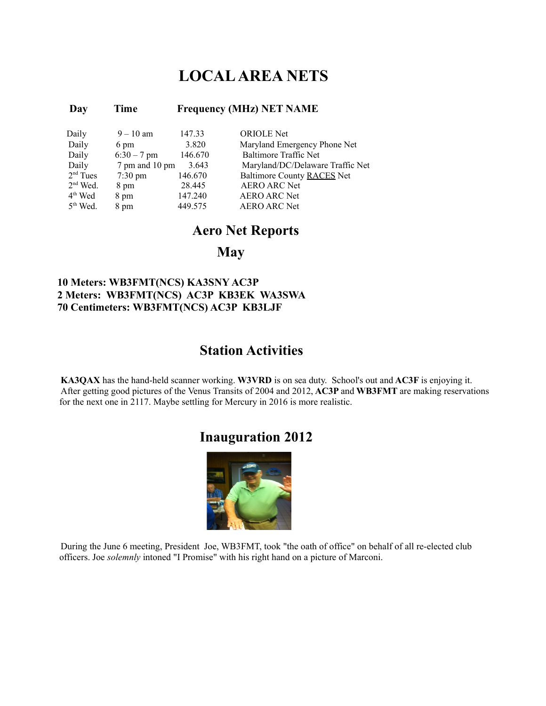## **LOCAL AREA NETS**

### **Day Time Frequency (MHz) NET NAME**

| Daily      | $9 - 10$ am       | 147.33  | <b>ORIOLE</b> Net                |
|------------|-------------------|---------|----------------------------------|
| Daily      | 6 pm              | 3.820   | Maryland Emergency Phone Net     |
| Daily      | $6:30 - 7$ pm     | 146.670 | Baltimore Traffic Net            |
| Daily      | 7 pm and 10 pm    | 3.643   | Maryland/DC/Delaware Traffic Net |
| $2nd$ Tues | $7:30 \text{ pm}$ | 146.670 | Baltimore County RACES Net       |
| $2nd$ Wed. | 8 pm              | 28.445  | <b>AERO ARC Net</b>              |
| $4th$ Wed  | 8 pm              | 147.240 | <b>AERO ARC Net</b>              |
| $5th$ Wed. | 8 pm              | 449.575 | <b>AERO ARC Net</b>              |

### **Aero Net Reports**

### **May**

### **10 Meters: WB3FMT(NCS) KA3SNY AC3P 2 Meters: WB3FMT(NCS) AC3P KB3EK WA3SWA 70 Centimeters: WB3FMT(NCS) AC3P KB3LJF**

### **Station Activities**

**KA3QAX** has the hand-held scanner working. **W3VRD** is on sea duty. School's out and **AC3F** is enjoying it. After getting good pictures of the Venus Transits of 2004 and 2012, **AC3P** and **WB3FMT** are making reservations for the next one in 2117. Maybe settling for Mercury in 2016 is more realistic.

## **Inauguration 2012**



During the June 6 meeting, President Joe, WB3FMT, took "the oath of office" on behalf of all re-elected club officers. Joe *solemnly* intoned "I Promise" with his right hand on a picture of Marconi.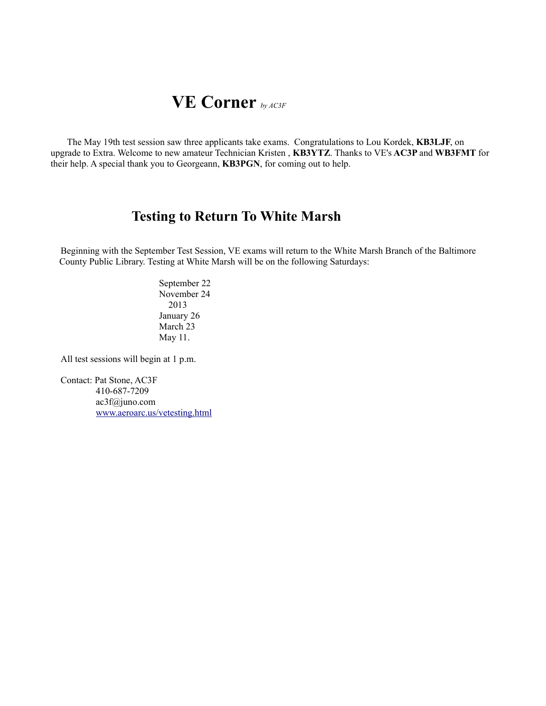# **VE Corner** *by AC3F*

The May 19th test session saw three applicants take exams. Congratulations to Lou Kordek, **KB3LJF**, on upgrade to Extra. Welcome to new amateur Technician Kristen , **KB3YTZ**. Thanks to VE's **AC3P** and **WB3FMT** for their help. A special thank you to Georgeann, **KB3PGN**, for coming out to help.

## **Testing to Return To White Marsh**

Beginning with the September Test Session, VE exams will return to the White Marsh Branch of the Baltimore County Public Library. Testing at White Marsh will be on the following Saturdays:

> September 22 November 24 2013 January 26 March 23 May 11.

All test sessions will begin at 1 p.m.

Contact: Pat Stone, AC3F 410-687-7209 ac3f@juno.com [www.aeroarc.us/vetesting.html](http://www.aeroarc.us/vetesting.html)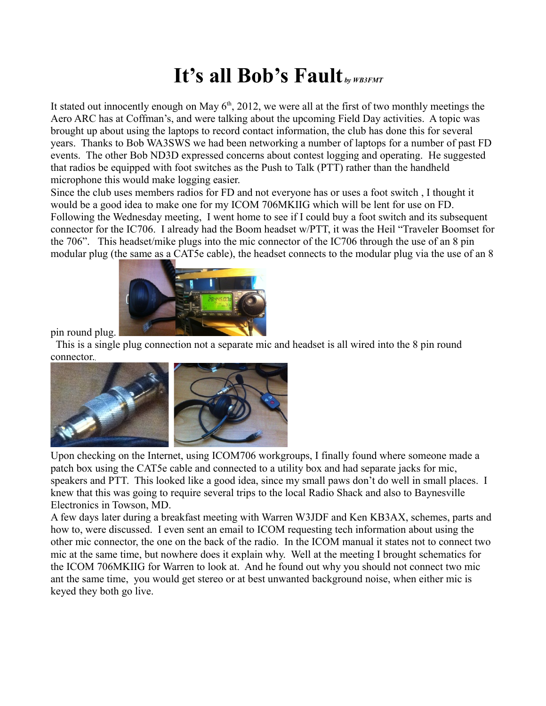# **It's all Bob's Fault** *by WB3FMT*

It stated out innocently enough on May  $6<sup>th</sup>$ , 2012, we were all at the first of two monthly meetings the Aero ARC has at Coffman's, and were talking about the upcoming Field Day activities. A topic was brought up about using the laptops to record contact information, the club has done this for several years. Thanks to Bob WA3SWS we had been networking a number of laptops for a number of past FD events. The other Bob ND3D expressed concerns about contest logging and operating. He suggested that radios be equipped with foot switches as the Push to Talk (PTT) rather than the handheld microphone this would make logging easier.

Since the club uses members radios for FD and not everyone has or uses a foot switch , I thought it would be a good idea to make one for my ICOM 706MKIIG which will be lent for use on FD. Following the Wednesday meeting, I went home to see if I could buy a foot switch and its subsequent connector for the IC706. I already had the Boom headset w/PTT, it was the Heil "Traveler Boomset for the 706". This headset/mike plugs into the mic connector of the IC706 through the use of an 8 pin modular plug (the same as a CAT5e cable), the headset connects to the modular plug via the use of an 8



pin round plug.

 This is a single plug connection not a separate mic and headset is all wired into the 8 pin round connector.



Upon checking on the Internet, using ICOM706 workgroups, I finally found where someone made a patch box using the CAT5e cable and connected to a utility box and had separate jacks for mic, speakers and PTT. This looked like a good idea, since my small paws don't do well in small places. I knew that this was going to require several trips to the local Radio Shack and also to Baynesville Electronics in Towson, MD.

A few days later during a breakfast meeting with Warren W3JDF and Ken KB3AX, schemes, parts and how to, were discussed. I even sent an email to ICOM requesting tech information about using the other mic connector, the one on the back of the radio. In the ICOM manual it states not to connect two mic at the same time, but nowhere does it explain why. Well at the meeting I brought schematics for the ICOM 706MKIIG for Warren to look at. And he found out why you should not connect two mic ant the same time, you would get stereo or at best unwanted background noise, when either mic is keyed they both go live.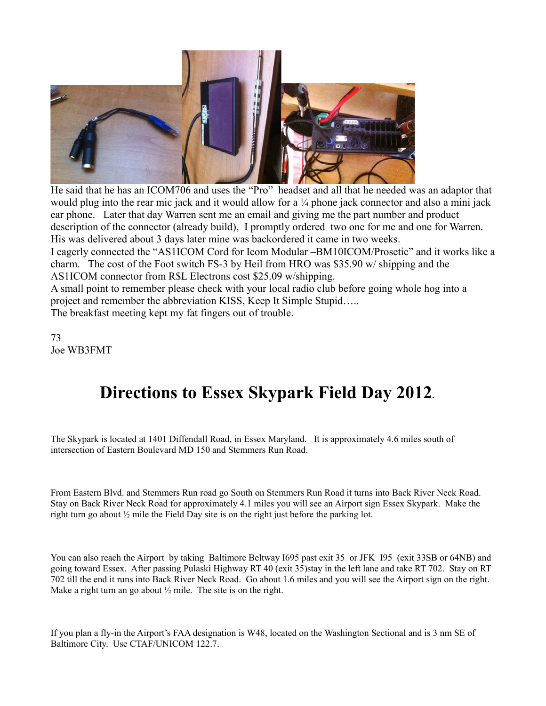

He said that he has an ICOM706 and uses the "Pro" headset and all that he needed was an adaptor that would plug into the rear mic jack and it would allow for a ¼ phone jack connector and also a mini jack ear phone. Later that day Warren sent me an email and giving me the part number and product description of the connector (already build), I promptly ordered two one for me and one for Warren. His was delivered about 3 days later mine was backordered it came in two weeks.

I eagerly connected the "AS1ICOM Cord for Icom Modular –BM10ICOM/Prosetic" and it works like a charm. The cost of the Foot switch FS-3 by Heil from HRO was \$35.90 w/ shipping and the AS1ICOM connector from R\$L Electrons cost \$25.09 w/shipping.

A small point to remember please check with your local radio club before going whole hog into a project and remember the abbreviation KISS, Keep It Simple Stupid…..

The breakfast meeting kept my fat fingers out of trouble.

73 Joe WB3FMT

# **Directions to Essex Skypark Field Day 2012.**

The Skypark is located at 1401 Diffendall Road, in Essex Maryland. It is approximately 4.6 miles south of intersection of Eastern Boulevard MD 150 and Stemmers Run Road.

From Eastern Blvd. and Stemmers Run road go South on Stemmers Run Road it turns into Back River Neck Road. Stay on Back River Neck Road for approximately 4.1 miles you will see an Airport sign Essex Skypark. Make the right turn go about ½ mile the Field Day site is on the right just before the parking lot.

You can also reach the Airport by taking Baltimore Beltway I695 past exit 35 or JFK I95 (exit 33SB or 64NB) and going toward Essex. After passing Pulaski Highway RT 40 (exit 35)stay in the left lane and take RT 702. Stay on RT 702 till the end it runs into Back River Neck Road. Go about 1.6 miles and you will see the Airport sign on the right. Make a right turn an go about  $\frac{1}{2}$  mile. The site is on the right.

If you plan a fly-in the Airport's FAA designation is W48, located on the Washington Sectional and is 3 nm SE of Baltimore City. Use CTAF/UNICOM 122.7.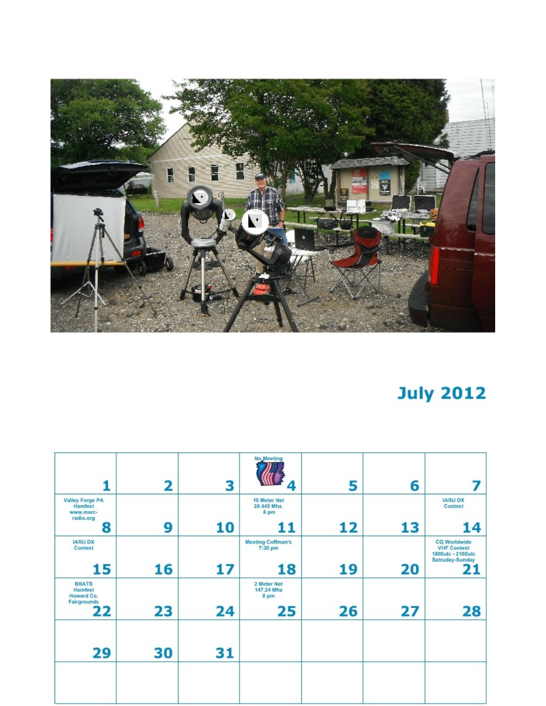

# **July 2012**

|                                                                  | 2  | 3  | No Meeting                                | 5  | 6  | 7                                                                                       |
|------------------------------------------------------------------|----|----|-------------------------------------------|----|----|-----------------------------------------------------------------------------------------|
| Valley Forge PA<br><b>Hamfest</b><br>www.marc-<br>radio.org<br>8 | 9  | 10 | 10 Meter Net<br>28.445 Mhz.<br>8 pm<br>11 | 12 | 13 | <b>IARU DX</b><br>Contest<br>14                                                         |
| <b>IARU DX</b><br>Contest<br>15                                  | 16 | 17 | <b>Meeting Coffman's</b><br>7:30 pm<br>18 | 19 | 20 | <b>CQ Worldwide</b><br><b>VHF Contest</b><br>1800utc - 2100utc<br>Satruday-Sunday<br>21 |
| <b>BRATS</b><br>Hamfest<br>Howard Co.<br>Fairgrounds<br>22       | 23 | 24 | 2 Meter Net<br>147.24 Mhz<br>8 pm<br>25   | 26 | 27 | 28                                                                                      |
| 29                                                               | 30 | 31 |                                           |    |    |                                                                                         |
|                                                                  |    |    |                                           |    |    |                                                                                         |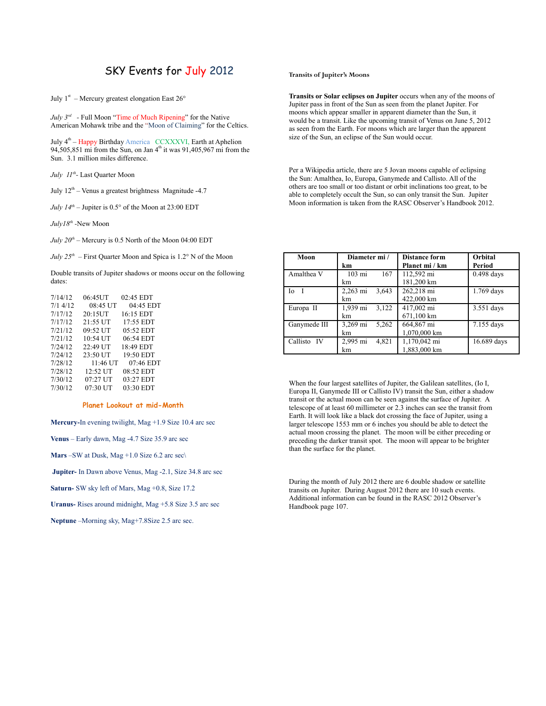### SKY Events for July 2012

July  $1<sup>st</sup>$  – Mercury greatest elongation East 26 $<sup>o</sup>$ </sup>

*July 3rd -* Full Moon "Time of Much Ripening" for the Native American Mohawk tribe and the "Moon of Claiming" for the Celtics.

July 4<sup>th</sup> – Happy Birthday America CCXXXVI, Earth at Aphelion 94,505,851 mi from the Sun, on Jan  $4<sup>th</sup>$  it was 91,405,967 mi from the Sun. 3.1 million miles difference.

*July 11th -* Last Quarter Moon

July  $12^{th}$  – Venus a greatest brightness Magnitude -4.7

*July*  $14^{th}$  *– Jupiter is*  $0.5^{\circ}$  of the Moon at 23:00 EDT

*July18th -*New Moon

*July*  $20^{th}$  *– Mercury is 0.5 North of the Moon 04:00 EDT* 

*July 25<sup>th</sup>* – First Quarter Moon and Spica is 1.2° N of the Moon

Double transits of Jupiter shadows or moons occur on the following dates:

| 7/14/12 | 06:45UT    | 02:45 EDT   |
|---------|------------|-------------|
| 7/14/12 | 08:45 UT   | 04:45 EDT   |
| 7/17/12 | 20:15UT    | 16:15 EDT   |
| 7/17/12 | $21:55$ UT | 17:55 EDT   |
| 7/21/12 | 09:52 UT   | $05:52$ EDT |
| 7/21/12 | 10:54 UT   | 06:54 EDT   |
| 7/24/12 | 22:49 UT   | 18:49 EDT   |
| 7/24/12 | 23:50 UT   | 19:50 EDT   |
| 7/28/12 | 11:46 UT   | 07:46 EDT   |
| 7/28/12 | 12:52 UT   | 08:52 EDT   |
| 7/30/12 | $07:27$ UT | 03:27 EDT   |
| 7/30/12 | 07:30 UT   | 03:30 EDT   |
|         |            |             |

#### **Planet Lookout at mid-Month**

**Mercury-**In evening twilight, Mag +1.9 Size 10.4 arc sec

**Venus** – Early dawn, Mag -4.7 Size 35.9 arc sec

**Mars** –SW at Dusk, Mag +1.0 Size 6.2 arc sec\

 **Jupiter-** In Dawn above Venus, Mag -2.1, Size 34.8 arc sec

**Saturn-** SW sky left of Mars, Mag +0.8, Size 17.2

**Uranus-** Rises around midnight, Mag +5.8 Size 3.5 arc sec

**Neptune** –Morning sky, Mag+7.8Size 2.5 arc sec.

#### **Transits of Jupiter's Moons**

**Transits or Solar eclipses on Jupiter** occurs when any of the moons of Jupiter pass in front of the Sun as seen from the planet Jupiter. For moons which appear smaller in apparent diameter than the Sun, it would be a transit. Like the upcoming transit of Venus on June 5, 2012 as seen from the Earth. For moons which are larger than the apparent size of the Sun, an eclipse of the Sun would occur.

Per a Wikipedia article, there are 5 Jovan moons capable of eclipsing the Sun: Amalthea, Io, Europa, Ganymede and Callisto. All of the others are too small or too distant or orbit inclinations too great, to be able to completely occult the Sun, so can only transit the Sun. Jupiter Moon information is taken from the RASC Observer's Handbook 2012.

| Moon         | Diameter mi/            | <b>Distance form</b> | Orbital      |
|--------------|-------------------------|----------------------|--------------|
|              | km                      | Planet mi / km       | Period       |
| Amalthea V   | $103 \text{ mi}$<br>167 | 112,592 mi           | $0.498$ days |
|              | km                      | 181,200 km           |              |
| Io           | 2,263 mi<br>3,643       | 262,218 mi           | 1.769 days   |
|              | km                      | 422,000 km           |              |
| Europa II    | 1,939 mi<br>3,122       | 417,002 mi           | 3.551 days   |
|              | km                      | 671,100 km           |              |
| Ganymede III | 3,269 mi<br>5,262       | 664,867 mi           | 7.155 days   |
|              | km                      | 1,070,000 km         |              |
| Callisto IV  | 2,995 mi<br>4,821       | 1,170,042 mi         | 16.689 days  |
|              | km                      | 1,883,000 km         |              |

When the four largest satellites of Jupiter, the Galilean satellites, (Io I, Europa II, Ganymede III or Callisto IV) transit the Sun, either a shadow transit or the actual moon can be seen against the surface of Jupiter. A telescope of at least 60 millimeter or 2.3 inches can see the transit from Earth. It will look like a black dot crossing the face of Jupiter, using a larger telescope 1553 mm or 6 inches you should be able to detect the actual moon crossing the planet. The moon will be either preceding or preceding the darker transit spot. The moon will appear to be brighter than the surface for the planet.

During the month of July 2012 there are 6 double shadow or satellite transits on Jupiter. During August 2012 there are 10 such events. Additional information can be found in the RASC 2012 Observer's Handbook page 107.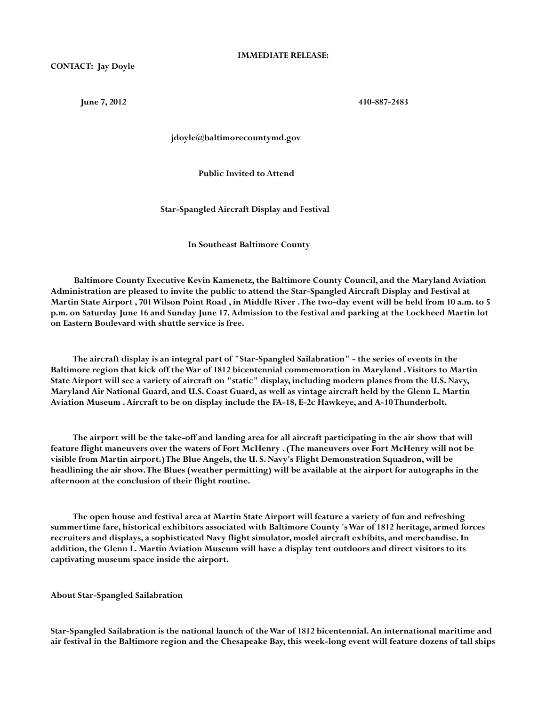**10-887-2483 10-887-2483** 

 **jdoyle@baltimorecountymd.gov**

 **Public Invited to Attend**

 **Star-Spangled Aircraft Display and Festival**

 **In Southeast Baltimore County**

 **Baltimore County Executive Kevin Kamenetz, the Baltimore County Council, and the Maryland Aviation Administration are pleased to invite the public to attend the Star-Spangled Aircraft Display and Festival at Martin State Airport , 701 Wilson Point Road , in Middle River . The two-day event will be held from 10 a.m. to 5 p.m. on Saturday June 16 and Sunday June 17. Admission to the festival and parking at the Lockheed Martin lot on Eastern Boulevard with shuttle service is free.**

 **The aircraft display is an integral part of "Star-Spangled Sailabration" - the series of events in the Baltimore region that kick off the War of 1812 bicentennial commemoration in Maryland . Visitors to Martin State Airport will see a variety of aircraft on "static" display, including modern planes from the U.S. Navy, Maryland Air National Guard, and U.S. Coast Guard, as well as vintage aircraft held by the Glenn L. Martin Aviation Museum . Aircraft to be on display include the FA-18, E-2c Hawkeye, and A-10 Thunderbolt.**

 **The airport will be the take-off and landing area for all aircraft participating in the air show that will feature flight maneuvers over the waters of Fort McHenry . (The maneuvers over Fort McHenry will not be visible from Martin airport.) The Blue Angels, the U. S. Navy's Flight Demonstration Squadron, will be headlining the air show. The Blues (weather permitting) will be available at the airport for autographs in the afternoon at the conclusion of their flight routine.** 

 **The open house and festival area at Martin State Airport will feature a variety of fun and refreshing summertime fare, historical exhibitors associated with Baltimore County 's War of 1812 heritage, armed forces recruiters and displays, a sophisticated Navy flight simulator, model aircraft exhibits, and merchandise. In addition, the Glenn L. Martin Aviation Museum will have a display tent outdoors and direct visitors to its captivating museum space inside the airport.**

**About Star-Spangled Sailabration**

**Star-Spangled Sailabration is the national launch of the War of 1812 bicentennial. An international maritime and air festival in the Baltimore region and the Chesapeake Bay, this week-long event will feature dozens of tall ships**